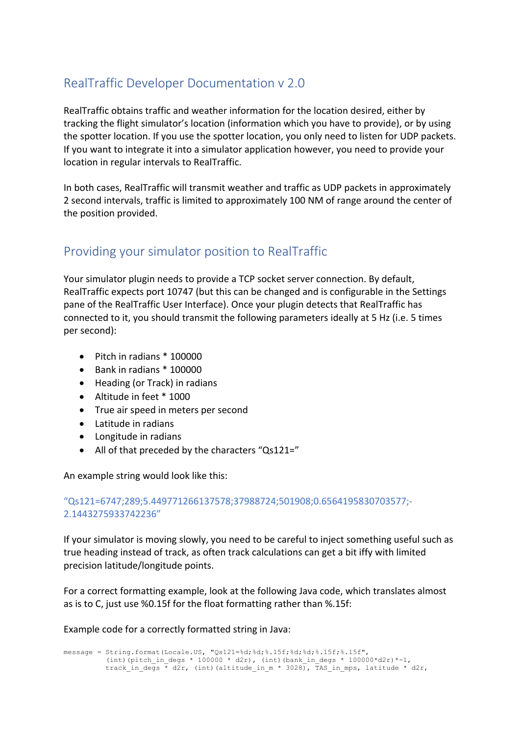# RealTraffic Developer Documentation v 2.0

RealTraffic obtains traffic and weather information for the location desired, either by tracking the flight simulator's location (information which you have to provide), or by using the spotter location. If you use the spotter location, you only need to listen for UDP packets. If you want to integrate it into a simulator application however, you need to provide your location in regular intervals to RealTraffic.

In both cases, RealTraffic will transmit weather and traffic as UDP packets in approximately 2 second intervals, traffic is limited to approximately 100 NM of range around the center of the position provided.

# Providing your simulator position to RealTraffic

Your simulator plugin needs to provide a TCP socket server connection. By default, RealTraffic expects port 10747 (but this can be changed and is configurable in the Settings pane of the RealTraffic User Interface). Once your plugin detects that RealTraffic has connected to it, you should transmit the following parameters ideally at 5 Hz (i.e. 5 times per second):

- Pitch in radians \* 100000
- Bank in radians \* 100000
- Heading (or Track) in radians
- Altitude in feet \* 1000
- True air speed in meters per second
- Latitude in radians
- Longitude in radians
- All of that preceded by the characters "Qs121="

An example string would look like this:

### "Qs121=6747;289;5.449771266137578;37988724;501908;0.6564195830703577;- 2.1443275933742236"

If your simulator is moving slowly, you need to be careful to inject something useful such as true heading instead of track, as often track calculations can get a bit iffy with limited precision latitude/longitude points.

For a correct formatting example, look at the following Java code, which translates almost as is to C, just use %0.15f for the float formatting rather than %.15f:

Example code for a correctly formatted string in Java:

message = String.format(Locale.US, "Qs121=%d;%d;%.15f;%d;%d;%.15f;%.15f", (int)(pitch\_in\_degs \* 100000 \* d2r), (int)(bank\_in\_degs \* 100000\*d2r)\*-1, track\_in\_degs \* d2r, (int)(altitude in m \* 3028), TAS\_in\_mps, latitude \* d2r,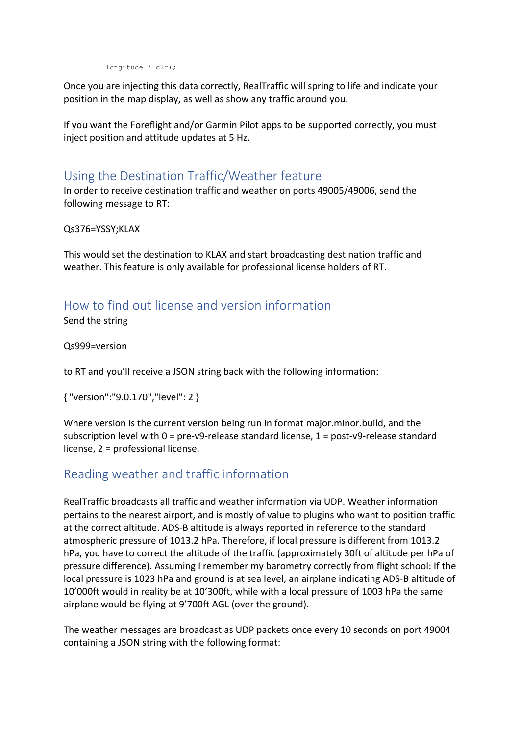longitude \* d2r);

Once you are injecting this data correctly, RealTraffic will spring to life and indicate your position in the map display, as well as show any traffic around you.

If you want the Foreflight and/or Garmin Pilot apps to be supported correctly, you must inject position and attitude updates at 5 Hz.

# Using the Destination Traffic/Weather feature

In order to receive destination traffic and weather on ports 49005/49006, send the following message to RT:

Qs376=YSSY;KLAX

This would set the destination to KLAX and start broadcasting destination traffic and weather. This feature is only available for professional license holders of RT.

# How to find out license and version information

Send the string

Qs999=version

to RT and you'll receive a JSON string back with the following information:

{ "version":"9.0.170","level": 2 }

Where version is the current version being run in format major.minor.build, and the subscription level with 0 = pre-v9-release standard license, 1 = post-v9-release standard license, 2 = professional license.

## Reading weather and traffic information

RealTraffic broadcasts all traffic and weather information via UDP. Weather information pertains to the nearest airport, and is mostly of value to plugins who want to position traffic at the correct altitude. ADS-B altitude is always reported in reference to the standard atmospheric pressure of 1013.2 hPa. Therefore, if local pressure is different from 1013.2 hPa, you have to correct the altitude of the traffic (approximately 30ft of altitude per hPa of pressure difference). Assuming I remember my barometry correctly from flight school: If the local pressure is 1023 hPa and ground is at sea level, an airplane indicating ADS-B altitude of 10'000ft would in reality be at 10'300ft, while with a local pressure of 1003 hPa the same airplane would be flying at 9'700ft AGL (over the ground).

The weather messages are broadcast as UDP packets once every 10 seconds on port 49004 containing a JSON string with the following format: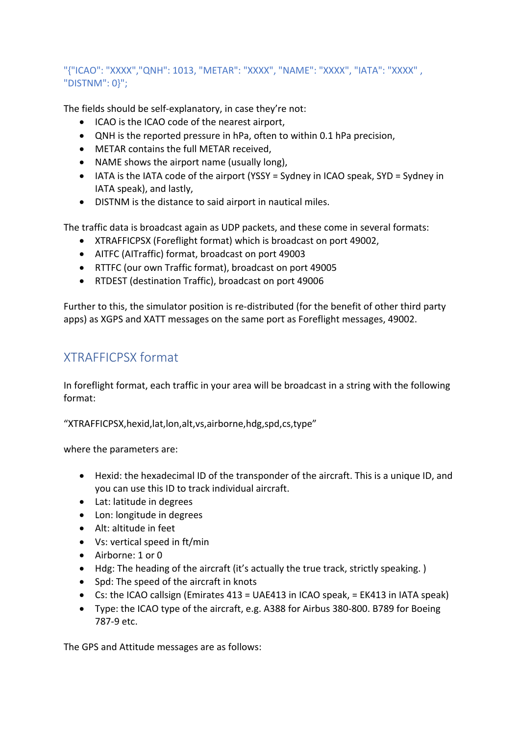## "{"ICAO": "XXXX","QNH": 1013, "METAR": "XXXX", "NAME": "XXXX", "IATA": "XXXX" , "DISTNM": 0}";

The fields should be self-explanatory, in case they're not:

- ICAO is the ICAO code of the nearest airport,
- QNH is the reported pressure in hPa, often to within 0.1 hPa precision,
- METAR contains the full METAR received,
- NAME shows the airport name (usually long),
- IATA is the IATA code of the airport (YSSY = Sydney in ICAO speak, SYD = Sydney in IATA speak), and lastly,
- DISTNM is the distance to said airport in nautical miles.

The traffic data is broadcast again as UDP packets, and these come in several formats:

- XTRAFFICPSX (Foreflight format) which is broadcast on port 49002,
- AITFC (AITraffic) format, broadcast on port 49003
- RTTFC (our own Traffic format), broadcast on port 49005
- RTDEST (destination Traffic), broadcast on port 49006

Further to this, the simulator position is re-distributed (for the benefit of other third party apps) as XGPS and XATT messages on the same port as Foreflight messages, 49002.

# XTRAFFICPSX format

In foreflight format, each traffic in your area will be broadcast in a string with the following format:

"XTRAFFICPSX,hexid,lat,lon,alt,vs,airborne,hdg,spd,cs,type"

where the parameters are:

- Hexid: the hexadecimal ID of the transponder of the aircraft. This is a unique ID, and you can use this ID to track individual aircraft.
- Lat: latitude in degrees
- Lon: longitude in degrees
- Alt: altitude in feet
- Vs: vertical speed in ft/min
- Airborne: 1 or 0
- Hdg: The heading of the aircraft (it's actually the true track, strictly speaking. )
- Spd: The speed of the aircraft in knots
- Cs: the ICAO callsign (Emirates 413 = UAE413 in ICAO speak, = EK413 in IATA speak)
- Type: the ICAO type of the aircraft, e.g. A388 for Airbus 380-800. B789 for Boeing 787-9 etc.

The GPS and Attitude messages are as follows: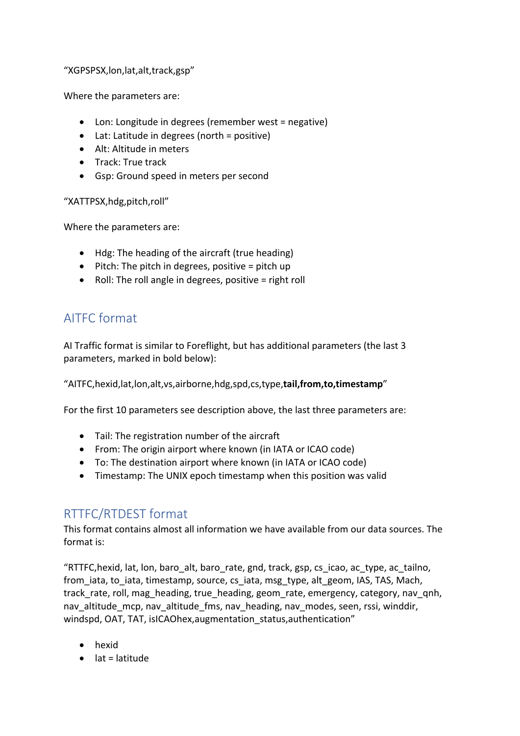"XGPSPSX,lon,lat,alt,track,gsp"

Where the parameters are:

- Lon: Longitude in degrees (remember west = negative)
- Lat: Latitude in degrees (north = positive)
- Alt: Altitude in meters
- Track: True track
- Gsp: Ground speed in meters per second

"XATTPSX,hdg,pitch,roll"

Where the parameters are:

- Hdg: The heading of the aircraft (true heading)
- $\bullet$  Pitch: The pitch in degrees, positive = pitch up
- Roll: The roll angle in degrees, positive = right roll

# AITFC format

AI Traffic format is similar to Foreflight, but has additional parameters (the last 3 parameters, marked in bold below):

"AITFC,hexid,lat,lon,alt,vs,airborne,hdg,spd,cs,type,**tail,from,to,timestamp**"

For the first 10 parameters see description above, the last three parameters are:

- Tail: The registration number of the aircraft
- From: The origin airport where known (in IATA or ICAO code)
- To: The destination airport where known (in IATA or ICAO code)
- Timestamp: The UNIX epoch timestamp when this position was valid

## RTTFC/RTDEST format

This format contains almost all information we have available from our data sources. The format is:

"RTTFC,hexid, lat, lon, baro\_alt, baro\_rate, gnd, track, gsp, cs\_icao, ac\_type, ac\_tailno, from iata, to iata, timestamp, source, cs iata, msg\_type, alt\_geom, IAS, TAS, Mach, track rate, roll, mag\_heading, true\_heading, geom\_rate, emergency, category, nav\_qnh, nav\_altitude\_mcp, nav\_altitude\_fms, nav\_heading, nav\_modes, seen, rssi, winddir, windspd, OAT, TAT, isICAOhex,augmentation status,authentication"

- hexid
- $\bullet$  lat = latitude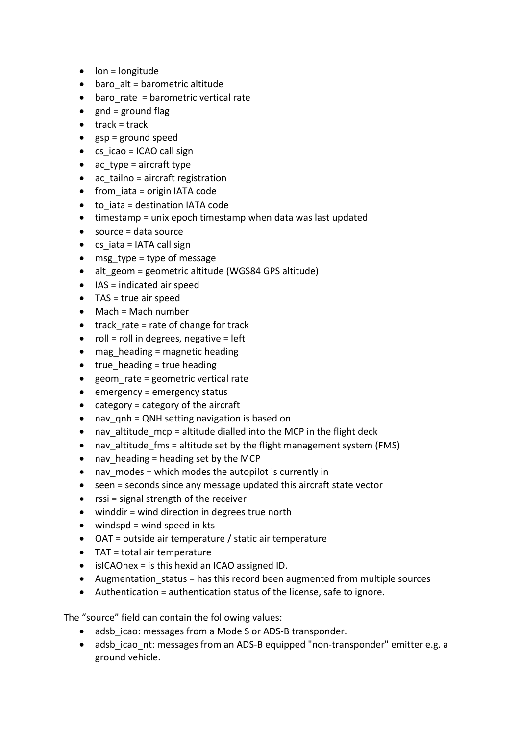- lon = longitude
- $\bullet$  baro alt = barometric altitude
- baro rate = barometric vertical rate
- $gnd =$  ground flag
- $\bullet$  track = track
- $gsp = ground speed$
- cs icao = ICAO call sign
- ac type = aircraft type
- ac\_tailno = aircraft registration
- from iata = origin IATA code
- to iata = destination IATA code
- timestamp = unix epoch timestamp when data was last updated
- source = data source
- $\bullet$  cs iata = IATA call sign
- msg type = type of message
- alt geom = geometric altitude (WGS84 GPS altitude)
- $\bullet$  IAS = indicated air speed
- TAS = true air speed
- Mach = Mach number
- $\bullet$  track rate = rate of change for track
- $\bullet$  roll = roll in degrees, negative = left
- $\bullet$  mag heading = magnetic heading
- $\bullet$  true heading = true heading
- geom rate = geometric vertical rate
- emergency = emergency status
- category = category of the aircraft
- nav qnh = QNH setting navigation is based on
- nav altitude mcp = altitude dialled into the MCP in the flight deck
- nav altitude fms = altitude set by the flight management system (FMS)
- nav heading = heading set by the MCP
- nav modes = which modes the autopilot is currently in
- seen = seconds since any message updated this aircraft state vector
- rssi = signal strength of the receiver
- winddir = wind direction in degrees true north
- $\bullet$  windspd = wind speed in kts
- OAT = outside air temperature / static air temperature
- TAT = total air temperature
- isICAOhex = is this hexid an ICAO assigned ID.
- Augmentation status = has this record been augmented from multiple sources
- Authentication = authentication status of the license, safe to ignore.

The "source" field can contain the following values:

- adsb icao: messages from a Mode S or ADS-B transponder.
- adsb icao nt: messages from an ADS-B equipped "non-transponder" emitter e.g. a ground vehicle.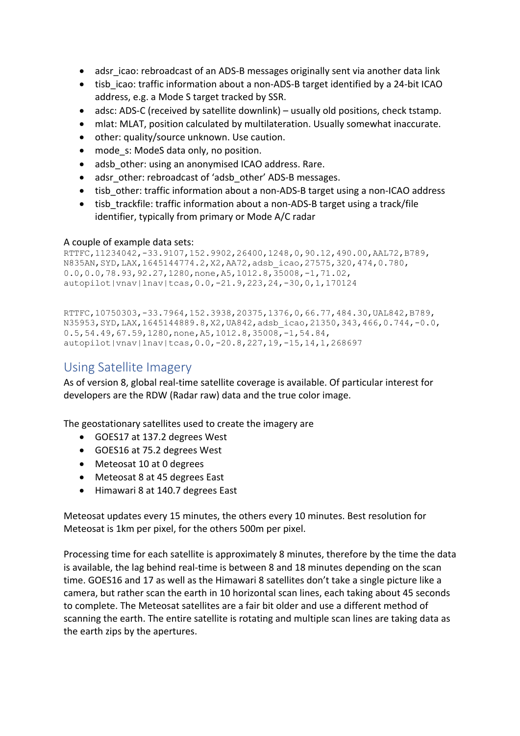- adsr icao: rebroadcast of an ADS-B messages originally sent via another data link
- tisb icao: traffic information about a non-ADS-B target identified by a 24-bit ICAO address, e.g. a Mode S target tracked by SSR.
- adsc: ADS-C (received by satellite downlink) usually old positions, check tstamp.
- mlat: MLAT, position calculated by multilateration. Usually somewhat inaccurate.
- other: quality/source unknown. Use caution.
- mode s: ModeS data only, no position.
- adsb other: using an anonymised ICAO address. Rare.
- adsr\_other: rebroadcast of 'adsb\_other' ADS-B messages.
- tisb other: traffic information about a non-ADS-B target using a non-ICAO address
- tisb trackfile: traffic information about a non-ADS-B target using a track/file identifier, typically from primary or Mode A/C radar

#### A couple of example data sets:

```
RTTFC,11234042,-33.9107,152.9902,26400,1248,0,90.12,490.00,AAL72,B789,
N835AN,SYD,LAX,1645144774.2,X2,AA72,adsb_icao,27575,320,474,0.780,
0.0, 0.0, 78.93, 92.27, 1280, none, A5, 1012.8, 35008, -1, 71.02autopilot|vnav|lnav|tcas,0.0,-21.9,223,24,-30,0,1,170124
```

```
RTTFC,10750303,-33.7964,152.3938,20375,1376,0,66.77,484.30,UAL842,B789,
N35953,SYD,LAX,1645144889.8,X2,UA842,adsb_icao,21350,343,466,0.744,-0.0,
0.5, 54.49, 67.59, 1280, \text{none}, A5, 1012.8, 35008, -1, 54.84,autopilot|vnav|lnav|tcas,0.0,-20.8,227,19,-15,14,1,268697
```
## Using Satellite Imagery

As of version 8, global real-time satellite coverage is available. Of particular interest for developers are the RDW (Radar raw) data and the true color image.

The geostationary satellites used to create the imagery are

- GOES17 at 137.2 degrees West
- GOES16 at 75.2 degrees West
- Meteosat 10 at 0 degrees
- Meteosat 8 at 45 degrees East
- Himawari 8 at 140.7 degrees East

Meteosat updates every 15 minutes, the others every 10 minutes. Best resolution for Meteosat is 1km per pixel, for the others 500m per pixel.

Processing time for each satellite is approximately 8 minutes, therefore by the time the data is available, the lag behind real-time is between 8 and 18 minutes depending on the scan time. GOES16 and 17 as well as the Himawari 8 satellites don't take a single picture like a camera, but rather scan the earth in 10 horizontal scan lines, each taking about 45 seconds to complete. The Meteosat satellites are a fair bit older and use a different method of scanning the earth. The entire satellite is rotating and multiple scan lines are taking data as the earth zips by the apertures.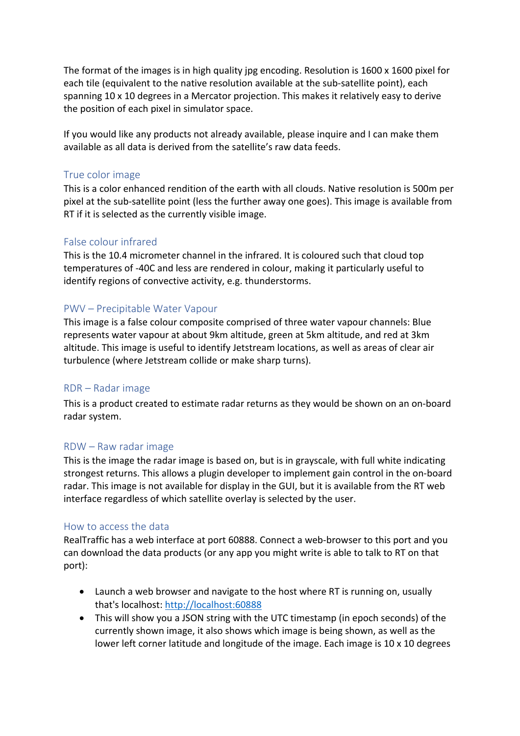The format of the images is in high quality jpg encoding. Resolution is 1600 x 1600 pixel for each tile (equivalent to the native resolution available at the sub-satellite point), each spanning 10 x 10 degrees in a Mercator projection. This makes it relatively easy to derive the position of each pixel in simulator space.

If you would like any products not already available, please inquire and I can make them available as all data is derived from the satellite's raw data feeds.

### True color image

This is a color enhanced rendition of the earth with all clouds. Native resolution is 500m per pixel at the sub-satellite point (less the further away one goes). This image is available from RT if it is selected as the currently visible image.

### False colour infrared

This is the 10.4 micrometer channel in the infrared. It is coloured such that cloud top temperatures of -40C and less are rendered in colour, making it particularly useful to identify regions of convective activity, e.g. thunderstorms.

### PWV – Precipitable Water Vapour

This image is a false colour composite comprised of three water vapour channels: Blue represents water vapour at about 9km altitude, green at 5km altitude, and red at 3km altitude. This image is useful to identify Jetstream locations, as well as areas of clear air turbulence (where Jetstream collide or make sharp turns).

### RDR – Radar image

This is a product created to estimate radar returns as they would be shown on an on-board radar system.

### RDW – Raw radar image

This is the image the radar image is based on, but is in grayscale, with full white indicating strongest returns. This allows a plugin developer to implement gain control in the on-board radar. This image is not available for display in the GUI, but it is available from the RT web interface regardless of which satellite overlay is selected by the user.

### How to access the data

RealTraffic has a web interface at port 60888. Connect a web-browser to this port and you can download the data products (or any app you might write is able to talk to RT on that port):

- Launch a web browser and navigate to the host where RT is running on, usually that's localhost: http://localhost:60888
- This will show you a JSON string with the UTC timestamp (in epoch seconds) of the currently shown image, it also shows which image is being shown, as well as the lower left corner latitude and longitude of the image. Each image is 10 x 10 degrees